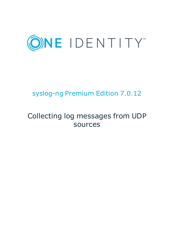

# syslog-ng Premium Edition 7.0.12

# Collecting log messages from UDP sources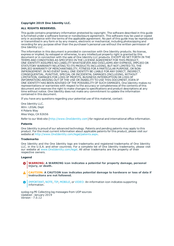### **Copyright 2019 One Identity LLC.**

#### **ALL RIGHTS RESERVED.**

This guide contains proprietary information protected by copyright. The software described in this guide is furnished under a software license or nondisclosure agreement. This software may be used or copied only in accordance with the terms of the applicable agreement. No part of this guide may be reproduced or transmitted in any form or by any means, electronic or mechanical, including photocopying and recording for any purpose other than the purchaser's personal use without the written permission of One Identity LLC .

The information in this document is provided in connection with One Identity products. No license, express or implied, by estoppel or otherwise, to any intellectual property right is granted by this document or in connection with the sale of One Identity LLC products. EXCEPT AS SET FORTH IN THE TERMS AND CONDITIONS AS SPECIFIED IN THE LICENSE AGREEMENT FOR THIS PRODUCT, ONE IDENTITY ASSUMES NO LIABILITY WHATSOEVER AND DISCLAIMS ANY EXPRESS, IMPLIED OR STATUTORY WARRANTY RELATING TO ITS PRODUCTS INCLUDING, BUT NOT LIMITED TO, THE IMPLIED WARRANTY OF MERCHANTABILITY, FITNESS FOR A PARTICULAR PURPOSE, OR NON-INFRINGEMENT. IN NO EVENT SHALL ONE IDENTITY BE LIABLE FOR ANY DIRECT, INDIRECT, CONSEQUENTIAL, PUNITIVE, SPECIAL OR INCIDENTAL DAMAGES (INCLUDING, WITHOUT LIMITATION, DAMAGES FOR LOSS OF PROFITS, BUSINESS INTERRUPTION OR LOSS OF INFORMATION) ARISING OUT OF THE USE OR INABILITY TO USE THIS DOCUMENT, EVEN IF ONE IDENTITY HAS BEEN ADVISED OF THE POSSIBILITY OF SUCH DAMAGES. One Identity makes no representations or warranties with respect to the accuracy or completeness of the contents of this document and reserves the right to make changes to specifications and product descriptions at any time without notice. One Identity does not make any commitment to update the information contained in this document.

If you have any questions regarding your potential use of this material, contact:

One Identity LLC. Attn: LEGAL Dept 4 Polaris Way Aliso Viejo, CA 92656

Refer to our Web site ([http://www.OneIdentity.com](http://www.oneidentity.com/)) for regional and international office information.

#### **Patents**

One Identity is proud of our advanced technology. Patents and pending patents may apply to this product. For the most current information about applicable patents for this product, please visit our website at [http://www.OneIdentity.com/legal/patents.aspx](http://www.oneidentity.com/legal/patents.aspx).

#### **Trademarks**

One Identity and the One Identity logo are trademarks and registered trademarks of One Identity LLC. in the U.S.A. and other countries. For a complete list of One Identity trademarks, please visit our website at [www.OneIdentity.com/legal](http://www.oneidentity.com/legal). All other trademarks are the property of their respective owners.

#### **Legend**

- **WARNING: A WARNING icon indicates a potential for property damage, personal injury, or death.**
- **CAUTION: A CAUTION icon indicates potential damage to hardware or loss of data if instructions are not followed.**
- IMPORTANT, NOTE, TIP, MOBILE, or VIDEO: An information icon indicates supporting Œ information.

syslog-ng PE Collecting log messages from UDP sources Updated - January 2019 Version - 7.0.12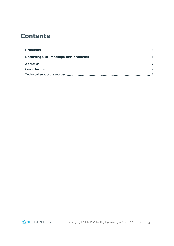## **Contents**

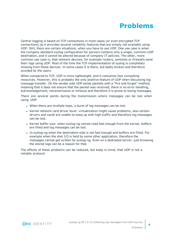# **Problems**

<span id="page-3-0"></span>Central logging is based on TCP connections in most cases (or even encrypted TCP connections) as it provides several reliability features that are simply not available using UDP. Still, there are certain situations, when you have to use UDP. One use case is when the company standard syslog configuration for servers contains only a single, common UDP destination, and it cannot be altered because of company IT policies. The other, more common use case is, that network devices, for example routers, switches or firewalls send their logs using UDP. Most of the time the TCP implementation of syslog is completely missing from these devices. In some cases it is there, but badly broken and therefore avoided by the users.

When compared to TCP, UDP is more lightweight, and it consumes less computing resources. However, this is probably the only positive feature of UDP when discussing log message transfer. On the sender side UDP sends packets with a "fire and forget" method, meaning that it does not ensure that the packet was received, there is no error handling, acknowledgement, retransmission or timeout and therefore it is prone to losing messages.

There are several points during the transmission where messages can be lost when using UDP:

- . When there are multiple hops, a burst of log messages can be lost.
- Kernel network card driver level: virtualization might cause problems, also certain drivers and cards are unable to keep up with high traffic and therefore log messages can be lost.
- Kernel buffer size: when syslog-ng cannot read fast enough from the kernel, buffers are filled and log messages can be lost.
- In syslog-ng when the destination side is not fast enough and buffers are filled. For example when the disk I/O is held by some other application, therefore the messages cannot get written by syslog-ng. Even on a dedicated server, just browsing the stored logs can be a reason for that.

The effects of these problems can be reduced, but keep in mind, that UDP is not a reliable protocol.

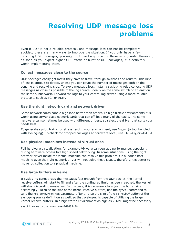# <span id="page-4-0"></span>**Resolving UDP message loss problems**

Even if UDP is not a reliable protocol, and message loss can not be completely avoided, there are many ways to improve the situation. If you only have a few incoming UDP messages, you might not need any or all of these safe guards. However, as soon as you expect higher UDP traffic or burst of UDP packages, it is definitely worth implementing them.

### **Collect messages close to the source**

UDP packages easily get lost if they have to travel through switches and routers. This kind of loss is difficult to detect, unless you can count the number of messages both on the sending and receiving side. To avoid message loss, install a syslog-ng relay collecting UDP messages as close as possible to the log source, ideally on the same switch or at least on the same subnetwork. Forward the logs to your central log server using a more reliable protocols, such as TCP or ALTP.

### **Use the right network card and network driver**

Some network cards handle high load better than others. In high traffic environments it is worth using server class network cards that can off-load many of the tasks. The same hardware can sometimes be used with different drivers, so select the driver that suits your needs best.

To generate syslog traffic for stress testing your environment, use loggen (a tool bundled with syslog-ng). To check for dropped packages at hardware level, use ifconfig or ethtool.

### **Use physical machines instead of virtual ones**

Full hardware virtualization, for example VMware can degrade performance, especially during hardware access like high speed networking. In some situations, using the right network driver inside the virtual machine can resolve this problem. On a loaded host machine even the right network driver will not solve these issues, therefore it is better to move log collection to a physical machine.

### **Use large buffers in kernel**

If syslog-ng cannot read the messages fast enough from the UDP socket, the kernel receive buffers will start to fill and after the configured limit has been reached, the kernel will start discarding messages. In this case, it is necessary to adjust the buffer size accordingly. To raise the size of the kernel receive buffers, use the sysctl command to tune the net.core.rmem\_max parameter. Next, raise the size of the so-rcvbuf option of the syslog-ng source definition as well, so that syslog-ng is capable of utilizing the larger kernel receive buffers. In a high traffic environment as high as 256MB might be necessary:

sysctl -w net.core.rmem max=268435456

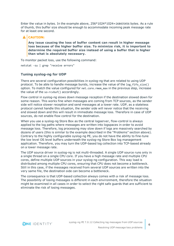Enter the value in bytes. In the example above, 256\*1024\*1024=268435456 bytes. As a rule of thumb, this buffer size should be enough to accommodate incoming peak message rate for at least one second.

## **A** CAUTION:

**Any issue causing the loss of buffer content can result in higher message loss because of the higher buffer size. To minimize risk, it is important to determine the required buffer size instead of using a buffer that is higher than what is absolutely necessary.**

To monitor packet loss, use the following command:

netstat -su | grep "receive errors"

### **Tuning syslog-ng for UDP**

There are several configuration possibilities in syslog-ng that are related to using UDP protocol. To be able to handle message bursts, increase the value of the log fifo size() option. To match the value configured for net.core.rmem max in the previous step, increase the value of the so-rcvbuf() accordingly.

Flow control in syslog-ng slows down message reception if the destination slowed down for some reason. This works fine when messages are coming from TCP sources, as the sender side will notice slower reception and send messages at a lower rate. UDP, as a stateless protocol cannot handle this situation, the sender side will never notice that the receiving end slowed down and this will result in immediate message loss. Therefore in case of UDP sources, do not enable flow control for the destination.

When you use a syslog-ng Store Box as the central logserver, flow-control is always applied to the log paths where messages are written into logspaces in order to avoid message loss. Therefore, log processing may slow down if logs are massively searched by dozens of users (this is similar to the example described in the "Problems" section above). Contrary to the highly configurable syslog-ng PE, you do not have the ability to fine-tune the low level OS level buffers underneath the syslog-ng Store Box log management application. Therefore, you may turn the UDP-based log collection into TCP-based already on a lower message rate.

The UDP source driver in syslog-ng is not multi-threaded. A single UDP source runs only in a single thread on a single CPU core. If you have a high message rate and multiple CPU cores, define multiple UDP sources in your syslog-ng configuration. This way load is distributed among multiple CPU cores, ensuring that CPU does not become a bottleneck. Still in this case, if the messages received from several UDP sources are written into the very same file, the destination side can become a bottleneck.

The consequence is that UDP-based collection always comes with a risk of message loss. The possibility of losing messages is different in each environment, therefore the situation might be examined in all cases in order to select the right safe guards that are sufficient to eliminate the risk of losing messages.